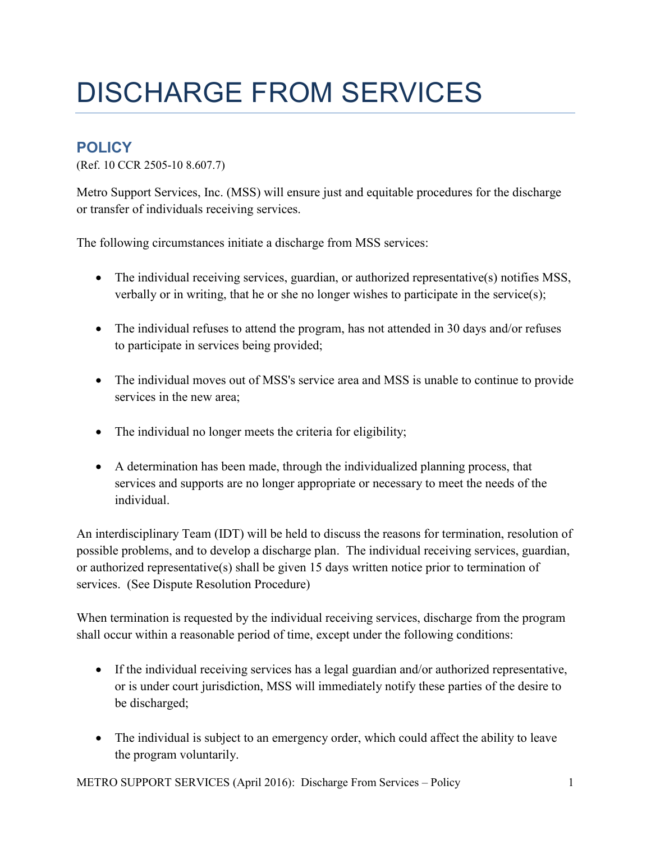## DISCHARGE FROM SERVICES

## **POLICY**

(Ref. 10 CCR 2505-10 8.607.7)

Metro Support Services, Inc. (MSS) will ensure just and equitable procedures for the discharge or transfer of individuals receiving services.

The following circumstances initiate a discharge from MSS services:

- The individual receiving services, guardian, or authorized representative(s) notifies MSS, verbally or in writing, that he or she no longer wishes to participate in the service(s);
- The individual refuses to attend the program, has not attended in 30 days and/or refuses to participate in services being provided;
- The individual moves out of MSS's service area and MSS is unable to continue to provide services in the new area;
- The individual no longer meets the criteria for eligibility;
- A determination has been made, through the individualized planning process, that services and supports are no longer appropriate or necessary to meet the needs of the individual.

An interdisciplinary Team (IDT) will be held to discuss the reasons for termination, resolution of possible problems, and to develop a discharge plan. The individual receiving services, guardian, or authorized representative(s) shall be given 15 days written notice prior to termination of services. (See Dispute Resolution Procedure)

When termination is requested by the individual receiving services, discharge from the program shall occur within a reasonable period of time, except under the following conditions:

- If the individual receiving services has a legal guardian and/or authorized representative, or is under court jurisdiction, MSS will immediately notify these parties of the desire to be discharged;
- The individual is subject to an emergency order, which could affect the ability to leave the program voluntarily.

METRO SUPPORT SERVICES (April 2016): Discharge From Services – Policy 1